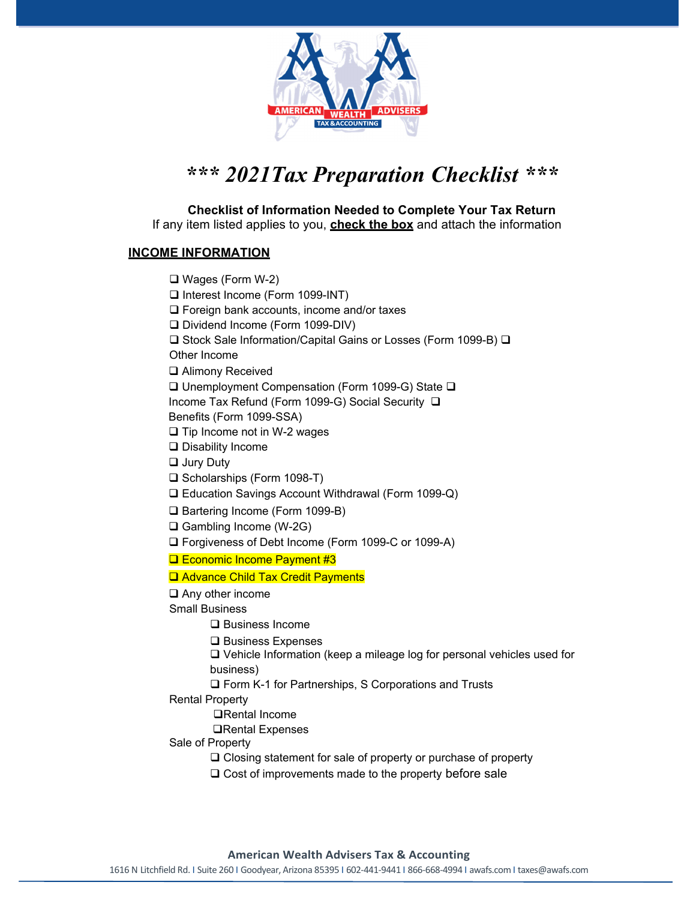

## *\*\*\* 2021Tax Preparation Checklist \*\*\**

**Checklist of Information Needed to Complete Your Tax Return**  If any item listed applies to you, **check the box** and attach the information

## **INCOME INFORMATION**

 Wages (Form W-2) □ Interest Income (Form 1099-INT)  $\Box$  Foreign bank accounts, income and/or taxes □ Dividend Income (Form 1099-DIV)  $\square$  Stock Sale Information/Capital Gains or Losses (Form 1099-B)  $\square$ Other Income **□** Alimony Received  $\square$  Unemployment Compensation (Form 1099-G) State  $\square$ Income Tax Refund (Form 1099-G) Social Security Benefits (Form 1099-SSA)  $\square$  Tip Income not in W-2 wages □ Disability Income □ Jury Duty □ Scholarships (Form 1098-T) Education Savings Account Withdrawal (Form 1099-Q) □ Bartering Income (Form 1099-B) Gambling Income (W-2G) □ Forgiveness of Debt Income (Form 1099-C or 1099-A) **Example Income Payment #3 □ Advance Child Tax Credit Payments** □ Any other income Small Business **□** Business Income  $\square$  Business Expenses Vehicle Information (keep a mileage log for personal vehicles used for business) □ Form K-1 for Partnerships, S Corporations and Trusts Rental Property Rental Income Rental Expenses Sale of Property □ Closing statement for sale of property or purchase of property  $\Box$  Cost of improvements made to the property before sale